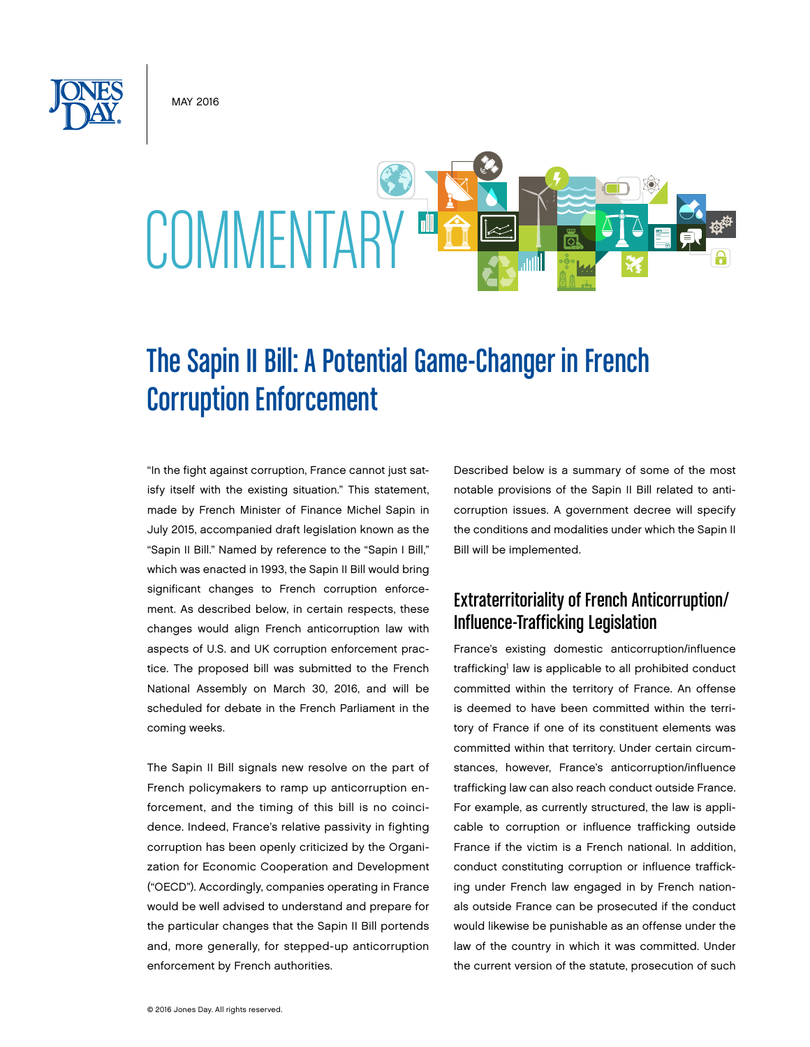May 2016



# The Sapin II Bill: A Potential Game-Changer in French Corruption Enforcement

"In the fight against corruption, France cannot just satisfy itself with the existing situation." This statement, made by French Minister of Finance Michel Sapin in July 2015, accompanied draft legislation known as the "Sapin II Bill." Named by reference to the "Sapin I Bill," which was enacted in 1993, the Sapin II Bill would bring significant changes to French corruption enforcement. As described below, in certain respects, these changes would align French anticorruption law with aspects of U.S. and UK corruption enforcement practice. The proposed bill was submitted to the French National Assembly on March 30, 2016, and will be scheduled for debate in the French Parliament in the coming weeks.

The Sapin II Bill signals new resolve on the part of French policymakers to ramp up anticorruption enforcement, and the timing of this bill is no coincidence. Indeed, France's relative passivity in fighting corruption has been openly criticized by the Organization for Economic Cooperation and Development ("OECD"). Accordingly, companies operating in France would be well advised to understand and prepare for the particular changes that the Sapin II Bill portends and, more generally, for stepped-up anticorruption enforcement by French authorities.

Described below is a summary of some of the most notable provisions of the Sapin II Bill related to anticorruption issues. A government decree will specify the conditions and modalities under which the Sapin II Bill will be implemented.

# Extraterritoriality of French Anticorruption/ Influence-Trafficking Legislation

France's existing domestic anticorruption/influence trafficking<sup>1</sup> law is applicable to all prohibited conduct committed within the territory of France. An offense is deemed to have been committed within the territory of France if one of its constituent elements was committed within that territory. Under certain circumstances, however, France's anticorruption/influence trafficking law can also reach conduct outside France. For example, as currently structured, the law is applicable to corruption or influence trafficking outside France if the victim is a French national. In addition, conduct constituting corruption or influence trafficking under French law engaged in by French nationals outside France can be prosecuted if the conduct would likewise be punishable as an offense under the law of the country in which it was committed. Under the current version of the statute, prosecution of such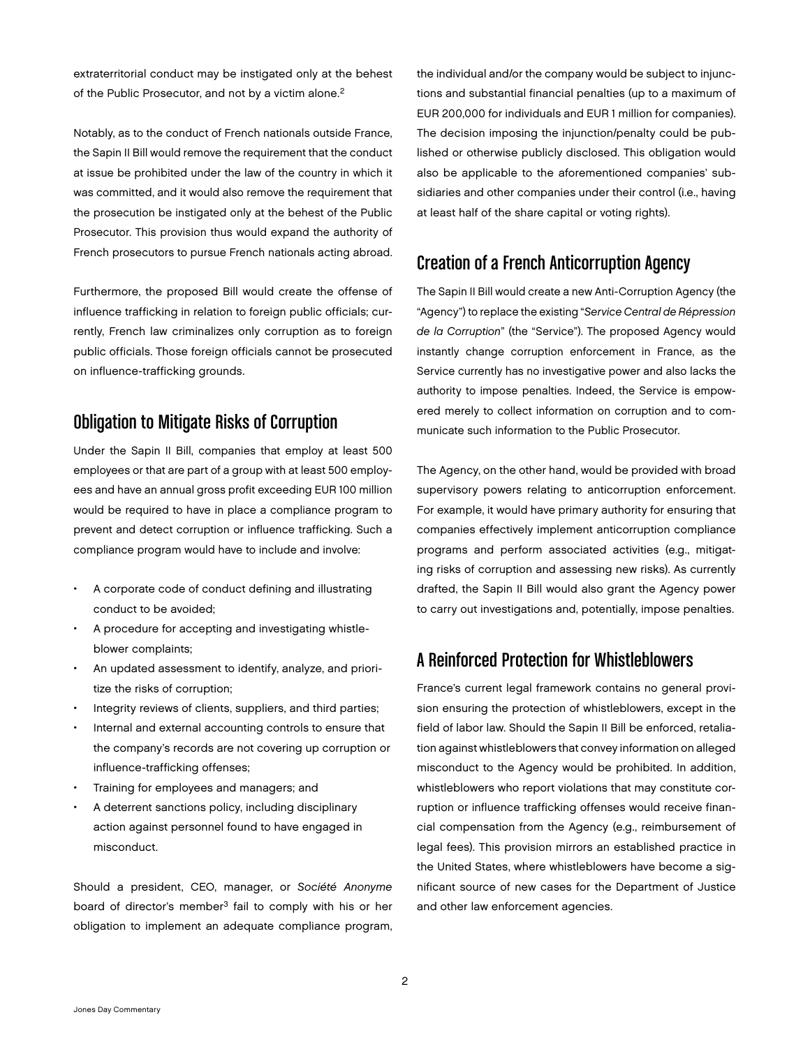extraterritorial conduct may be instigated only at the behest of the Public Prosecutor, and not by a victim alone.<sup>2</sup>

Notably, as to the conduct of French nationals outside France, the Sapin II Bill would remove the requirement that the conduct at issue be prohibited under the law of the country in which it was committed, and it would also remove the requirement that the prosecution be instigated only at the behest of the Public Prosecutor. This provision thus would expand the authority of French prosecutors to pursue French nationals acting abroad.

Furthermore, the proposed Bill would create the offense of influence trafficking in relation to foreign public officials; currently, French law criminalizes only corruption as to foreign public officials. Those foreign officials cannot be prosecuted on influence-trafficking grounds.

## Obligation to Mitigate Risks of Corruption

Under the Sapin II Bill, companies that employ at least 500 employees or that are part of a group with at least 500 employees and have an annual gross profit exceeding EUR 100 million would be required to have in place a compliance program to prevent and detect corruption or influence trafficking. Such a compliance program would have to include and involve:

- A corporate code of conduct defining and illustrating conduct to be avoided;
- A procedure for accepting and investigating whistleblower complaints;
- An updated assessment to identify, analyze, and prioritize the risks of corruption;
- Integrity reviews of clients, suppliers, and third parties;
- Internal and external accounting controls to ensure that the company's records are not covering up corruption or influence-trafficking offenses;
- Training for employees and managers; and
- A deterrent sanctions policy, including disciplinary action against personnel found to have engaged in misconduct.

Should a president, CEO, manager, or *Société Anonyme* board of director's member<sup>3</sup> fail to comply with his or her obligation to implement an adequate compliance program, the individual and/or the company would be subject to injunctions and substantial financial penalties (up to a maximum of EUR 200,000 for individuals and EUR 1 million for companies). The decision imposing the injunction/penalty could be published or otherwise publicly disclosed. This obligation would also be applicable to the aforementioned companies' subsidiaries and other companies under their control (i.e., having at least half of the share capital or voting rights).

# Creation of a French Anticorruption Agency

The Sapin II Bill would create a new Anti-Corruption Agency (the "Agency") to replace the existing "*Service Central de Répression de la Corruption*" (the "Service"). The proposed Agency would instantly change corruption enforcement in France, as the Service currently has no investigative power and also lacks the authority to impose penalties. Indeed, the Service is empowered merely to collect information on corruption and to communicate such information to the Public Prosecutor.

The Agency, on the other hand, would be provided with broad supervisory powers relating to anticorruption enforcement. For example, it would have primary authority for ensuring that companies effectively implement anticorruption compliance programs and perform associated activities (e.g., mitigating risks of corruption and assessing new risks). As currently drafted, the Sapin II Bill would also grant the Agency power to carry out investigations and, potentially, impose penalties.

# A Reinforced Protection for Whistleblowers

France's current legal framework contains no general provision ensuring the protection of whistleblowers, except in the field of labor law. Should the Sapin II Bill be enforced, retaliation against whistleblowers that convey information on alleged misconduct to the Agency would be prohibited. In addition, whistleblowers who report violations that may constitute corruption or influence trafficking offenses would receive financial compensation from the Agency (e.g., reimbursement of legal fees). This provision mirrors an established practice in the United States, where whistleblowers have become a significant source of new cases for the Department of Justice and other law enforcement agencies.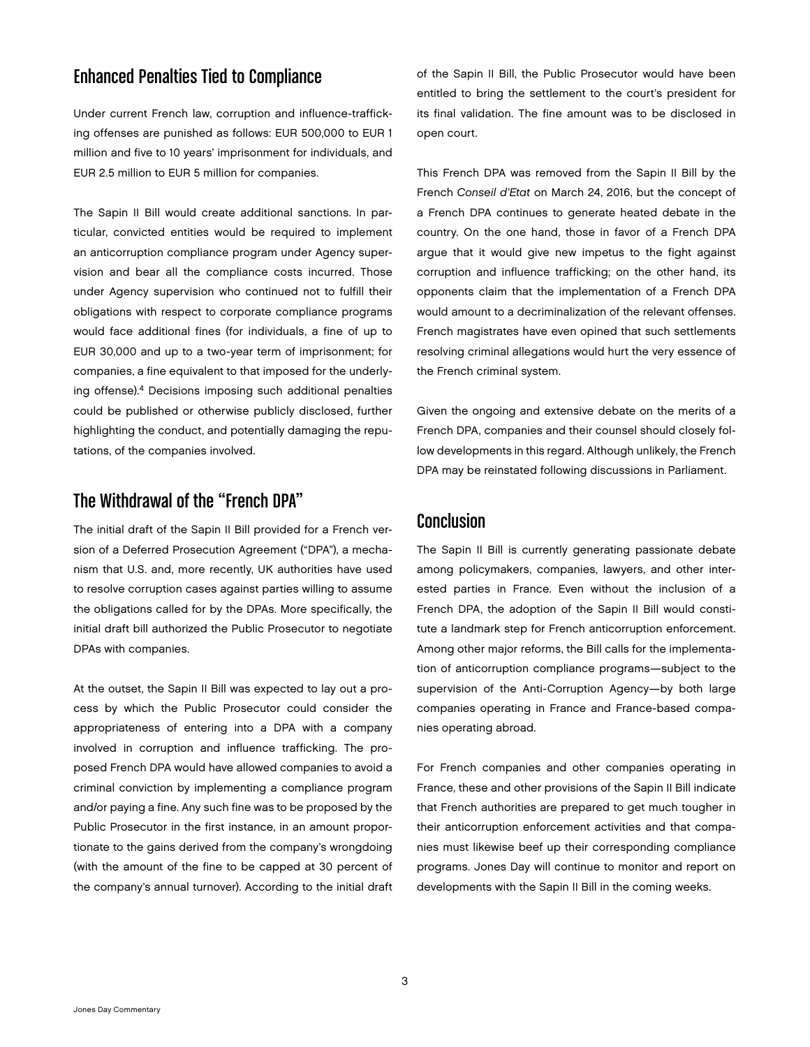# Enhanced Penalties Tied to Compliance

Under current French law, corruption and influence-trafficking offenses are punished as follows: EUR 500,000 to EUR 1 million and five to 10 years' imprisonment for individuals, and EUR 2.5 million to EUR 5 million for companies.

The Sapin II Bill would create additional sanctions. In particular, convicted entities would be required to implement an anticorruption compliance program under Agency supervision and bear all the compliance costs incurred. Those under Agency supervision who continued not to fulfill their obligations with respect to corporate compliance programs would face additional fines (for individuals, a fine of up to EUR 30,000 and up to a two-year term of imprisonment; for companies, a fine equivalent to that imposed for the underlying offense).4 Decisions imposing such additional penalties could be published or otherwise publicly disclosed, further highlighting the conduct, and potentially damaging the reputations, of the companies involved.

#### The Withdrawal of the "French DPA"

The initial draft of the Sapin II Bill provided for a French version of a Deferred Prosecution Agreement ("DPA"), a mechanism that U.S. and, more recently, UK authorities have used to resolve corruption cases against parties willing to assume the obligations called for by the DPAs. More specifically, the initial draft bill authorized the Public Prosecutor to negotiate DPAs with companies.

At the outset, the Sapin II Bill was expected to lay out a process by which the Public Prosecutor could consider the appropriateness of entering into a DPA with a company involved in corruption and influence trafficking. The proposed French DPA would have allowed companies to avoid a criminal conviction by implementing a compliance program and/or paying a fine. Any such fine was to be proposed by the Public Prosecutor in the first instance, in an amount proportionate to the gains derived from the company's wrongdoing (with the amount of the fine to be capped at 30 percent of the company's annual turnover). According to the initial draft

of the Sapin II Bill, the Public Prosecutor would have been entitled to bring the settlement to the court's president for its final validation. The fine amount was to be disclosed in open court.

This French DPA was removed from the Sapin II Bill by the French *Conseil d'Etat* on March 24, 2016, but the concept of a French DPA continues to generate heated debate in the country. On the one hand, those in favor of a French DPA argue that it would give new impetus to the fight against corruption and influence trafficking; on the other hand, its opponents claim that the implementation of a French DPA would amount to a decriminalization of the relevant offenses. French magistrates have even opined that such settlements resolving criminal allegations would hurt the very essence of the French criminal system.

Given the ongoing and extensive debate on the merits of a French DPA, companies and their counsel should closely follow developments in this regard. Although unlikely, the French DPA may be reinstated following discussions in Parliament.

#### Conclusion

The Sapin II Bill is currently generating passionate debate among policymakers, companies, lawyers, and other interested parties in France. Even without the inclusion of a French DPA, the adoption of the Sapin II Bill would constitute a landmark step for French anticorruption enforcement. Among other major reforms, the Bill calls for the implementation of anticorruption compliance programs—subject to the supervision of the Anti-Corruption Agency—by both large companies operating in France and France-based companies operating abroad.

For French companies and other companies operating in France, these and other provisions of the Sapin II Bill indicate that French authorities are prepared to get much tougher in their anticorruption enforcement activities and that companies must likewise beef up their corresponding compliance programs. Jones Day will continue to monitor and report on developments with the Sapin II Bill in the coming weeks.